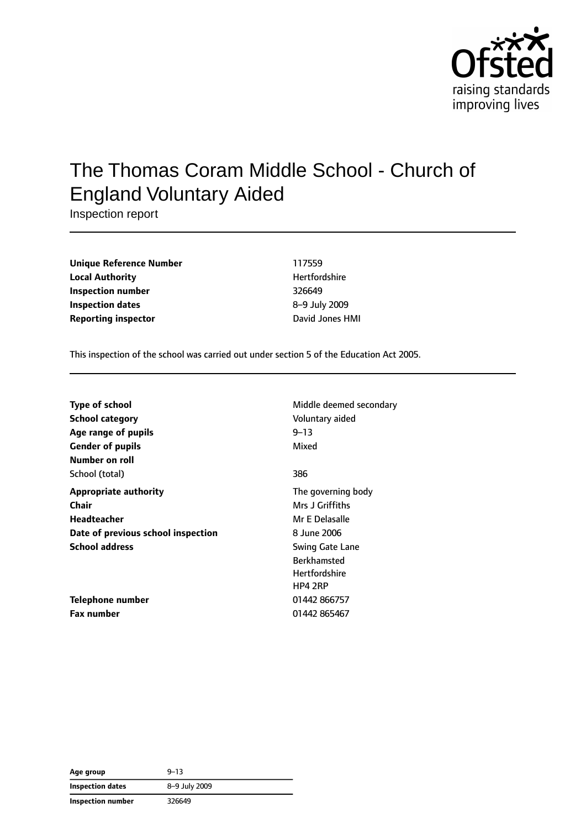

# The Thomas Coram Middle School - Church of England Voluntary Aided

Inspection report

| <b>Unique Reference Number</b> | 117559               |
|--------------------------------|----------------------|
| <b>Local Authority</b>         | <b>Hertfordshire</b> |
| Inspection number              | 326649               |
| Inspection dates               | 8-9 July 2009        |
| <b>Reporting inspector</b>     | David Jones HMI      |

This inspection of the school was carried out under section 5 of the Education Act 2005.

| <b>Type of school</b>              | Middle deemed secondary |
|------------------------------------|-------------------------|
| <b>School category</b>             | Voluntary aided         |
| Age range of pupils                | $9 - 13$                |
| <b>Gender of pupils</b>            | Mixed                   |
| Number on roll                     |                         |
| School (total)                     | 386                     |
| <b>Appropriate authority</b>       | The governing body      |
| Chair                              | Mrs J Griffiths         |
| Headteacher                        | Mr E Delasalle          |
| Date of previous school inspection | 8 June 2006             |
| <b>School address</b>              | <b>Swing Gate Lane</b>  |
|                                    | <b>Berkhamsted</b>      |
|                                    | Hertfordshire           |
|                                    | HP4 2RP                 |
| Telephone number                   | 01442 866757            |
| <b>Fax number</b>                  | 01442 865467            |

| Age group               | $9 - 13$      |  |
|-------------------------|---------------|--|
| <b>Inspection dates</b> | 8-9 July 2009 |  |
| Inspection number       | 326649        |  |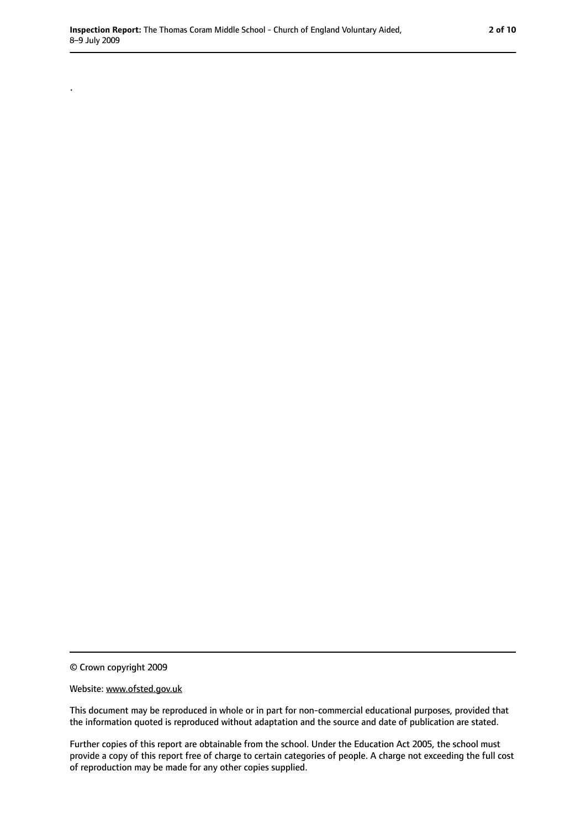© Crown copyright 2009

.

#### Website: www.ofsted.gov.uk

This document may be reproduced in whole or in part for non-commercial educational purposes, provided that the information quoted is reproduced without adaptation and the source and date of publication are stated.

Further copies of this report are obtainable from the school. Under the Education Act 2005, the school must provide a copy of this report free of charge to certain categories of people. A charge not exceeding the full cost of reproduction may be made for any other copies supplied.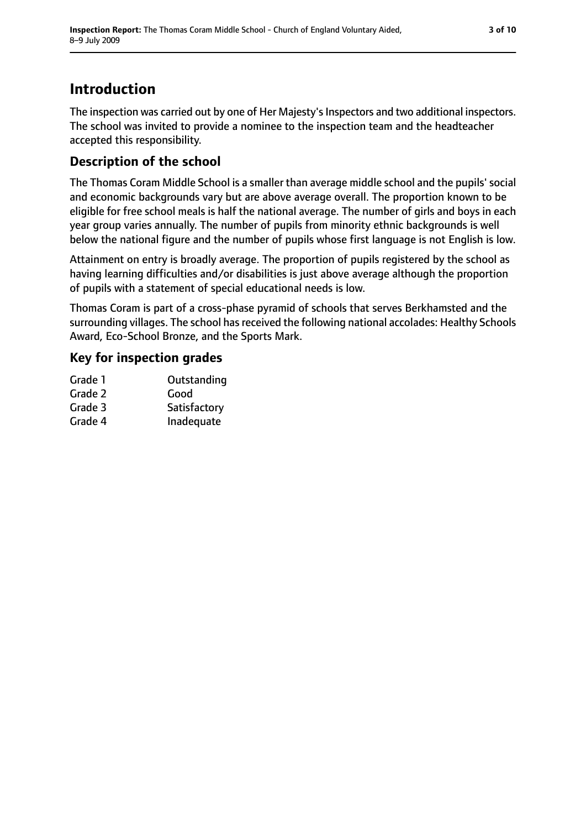### **Introduction**

The inspection was carried out by one of Her Majesty's Inspectors and two additional inspectors. The school was invited to provide a nominee to the inspection team and the headteacher accepted this responsibility.

#### **Description of the school**

The Thomas Coram Middle School is a smaller than average middle school and the pupils' social and economic backgrounds vary but are above average overall. The proportion known to be eligible for free school meals is half the national average. The number of girls and boys in each year group varies annually. The number of pupils from minority ethnic backgrounds is well below the national figure and the number of pupils whose first language is not English is low.

Attainment on entry is broadly average. The proportion of pupils registered by the school as having learning difficulties and/or disabilities is just above average although the proportion of pupils with a statement of special educational needs is low.

Thomas Coram is part of a cross-phase pyramid of schools that serves Berkhamsted and the surrounding villages. The school has received the following national accolades: Healthy Schools Award, Eco-School Bronze, and the Sports Mark.

#### **Key for inspection grades**

| Grade 1 | Outstanding  |
|---------|--------------|
| Grade 2 | Good         |
| Grade 3 | Satisfactory |
| Grade 4 | Inadequate   |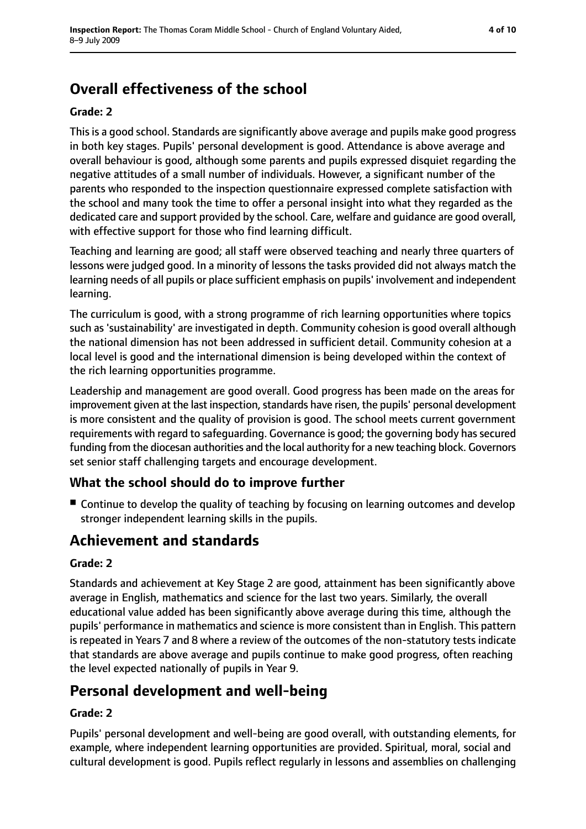## **Overall effectiveness of the school**

#### **Grade: 2**

This is a good school. Standards are significantly above average and pupils make good progress in both key stages. Pupils' personal development is good. Attendance is above average and overall behaviour is good, although some parents and pupils expressed disquiet regarding the negative attitudes of a small number of individuals. However, a significant number of the parents who responded to the inspection questionnaire expressed complete satisfaction with the school and many took the time to offer a personal insight into what they regarded as the dedicated care and support provided by the school. Care, welfare and guidance are good overall, with effective support for those who find learning difficult.

Teaching and learning are good; all staff were observed teaching and nearly three quarters of lessons were judged good. In a minority of lessons the tasks provided did not always match the learning needs of all pupils or place sufficient emphasis on pupils' involvement and independent learning.

The curriculum is good, with a strong programme of rich learning opportunities where topics such as 'sustainability' are investigated in depth. Community cohesion is good overall although the national dimension has not been addressed in sufficient detail. Community cohesion at a local level is good and the international dimension is being developed within the context of the rich learning opportunities programme.

Leadership and management are good overall. Good progress has been made on the areas for improvement given at the last inspection, standards have risen, the pupils' personal development is more consistent and the quality of provision is good. The school meets current government requirements with regard to safeguarding. Governance is good; the governing body has secured funding from the diocesan authorities and the local authority for a new teaching block. Governors set senior staff challenging targets and encourage development.

#### **What the school should do to improve further**

■ Continue to develop the quality of teaching by focusing on learning outcomes and develop stronger independent learning skills in the pupils.

### **Achievement and standards**

#### **Grade: 2**

Standards and achievement at Key Stage 2 are good, attainment has been significantly above average in English, mathematics and science for the last two years. Similarly, the overall educational value added has been significantly above average during this time, although the pupils' performance in mathematics and science is more consistent than in English. This pattern is repeated in Years 7 and 8 where a review of the outcomes of the non-statutory tests indicate that standards are above average and pupils continue to make good progress, often reaching the level expected nationally of pupils in Year 9.

### **Personal development and well-being**

#### **Grade: 2**

Pupils' personal development and well-being are good overall, with outstanding elements, for example, where independent learning opportunities are provided. Spiritual, moral, social and cultural development is good. Pupils reflect regularly in lessons and assemblies on challenging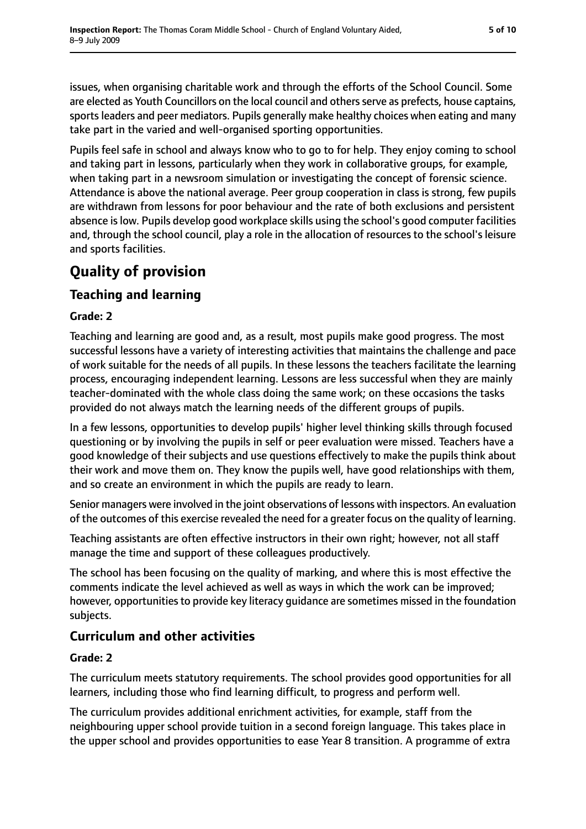issues, when organising charitable work and through the efforts of the School Council. Some are elected as Youth Councillors on the local council and others serve as prefects, house captains, sportsleaders and peer mediators. Pupils generally make healthy choices when eating and many take part in the varied and well-organised sporting opportunities.

Pupils feel safe in school and always know who to go to for help. They enjoy coming to school and taking part in lessons, particularly when they work in collaborative groups, for example, when taking part in a newsroom simulation or investigating the concept of forensic science. Attendance is above the national average. Peer group cooperation in class is strong, few pupils are withdrawn from lessons for poor behaviour and the rate of both exclusions and persistent absence is low. Pupils develop good workplace skills using the school's good computer facilities and, through the school council, play a role in the allocation of resources to the school's leisure and sports facilities.

### **Quality of provision**

#### **Teaching and learning**

#### **Grade: 2**

Teaching and learning are good and, as a result, most pupils make good progress. The most successful lessons have a variety of interesting activities that maintains the challenge and pace of work suitable for the needs of all pupils. In these lessons the teachers facilitate the learning process, encouraging independent learning. Lessons are less successful when they are mainly teacher-dominated with the whole class doing the same work; on these occasions the tasks provided do not always match the learning needs of the different groups of pupils.

In a few lessons, opportunities to develop pupils' higher level thinking skills through focused questioning or by involving the pupils in self or peer evaluation were missed. Teachers have a good knowledge of their subjects and use questions effectively to make the pupils think about their work and move them on. They know the pupils well, have good relationships with them, and so create an environment in which the pupils are ready to learn.

Senior managers were involved in the joint observations of lessons with inspectors. An evaluation of the outcomes of this exercise revealed the need for a greater focus on the quality of learning.

Teaching assistants are often effective instructors in their own right; however, not all staff manage the time and support of these colleagues productively.

The school has been focusing on the quality of marking, and where this is most effective the comments indicate the level achieved as well as ways in which the work can be improved; however, opportunities to provide key literacy guidance are sometimes missed in the foundation subjects.

#### **Curriculum and other activities**

#### **Grade: 2**

The curriculum meets statutory requirements. The school provides good opportunities for all learners, including those who find learning difficult, to progress and perform well.

The curriculum provides additional enrichment activities, for example, staff from the neighbouring upper school provide tuition in a second foreign language. This takes place in the upper school and provides opportunities to ease Year 8 transition. A programme of extra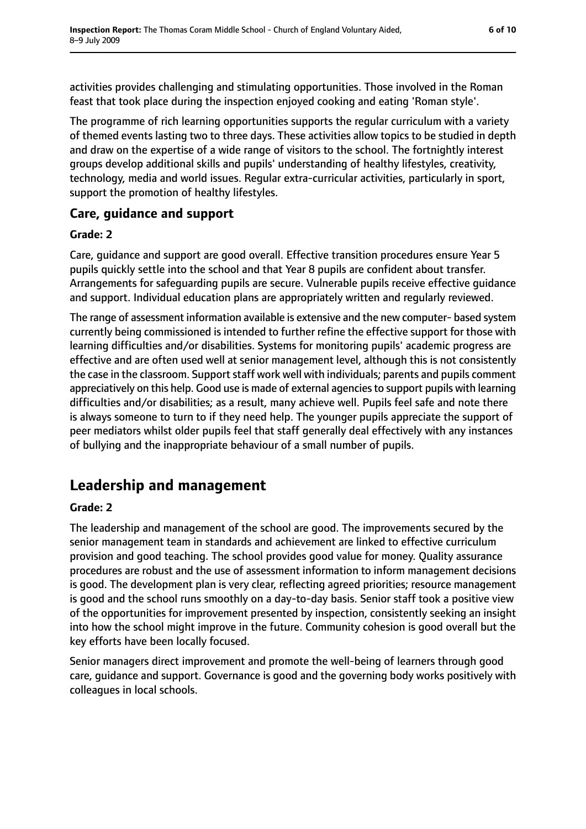activities provides challenging and stimulating opportunities. Those involved in the Roman feast that took place during the inspection enjoyed cooking and eating 'Roman style'.

The programme of rich learning opportunities supports the regular curriculum with a variety of themed events lasting two to three days. These activities allow topics to be studied in depth and draw on the expertise of a wide range of visitors to the school. The fortnightly interest groups develop additional skills and pupils' understanding of healthy lifestyles, creativity, technology, media and world issues. Regular extra-curricular activities, particularly in sport, support the promotion of healthy lifestyles.

#### **Care, guidance and support**

#### **Grade: 2**

Care, guidance and support are good overall. Effective transition procedures ensure Year 5 pupils quickly settle into the school and that Year 8 pupils are confident about transfer. Arrangements for safeguarding pupils are secure. Vulnerable pupils receive effective guidance and support. Individual education plans are appropriately written and regularly reviewed.

The range of assessment information available is extensive and the new computer- based system currently being commissioned is intended to further refine the effective support for those with learning difficulties and/or disabilities. Systems for monitoring pupils' academic progress are effective and are often used well at senior management level, although this is not consistently the case in the classroom. Support staff work well with individuals; parents and pupils comment appreciatively on this help. Good use is made of external agenciesto support pupils with learning difficulties and/or disabilities; as a result, many achieve well. Pupils feel safe and note there is always someone to turn to if they need help. The younger pupils appreciate the support of peer mediators whilst older pupils feel that staff generally deal effectively with any instances of bullying and the inappropriate behaviour of a small number of pupils.

### **Leadership and management**

#### **Grade: 2**

The leadership and management of the school are good. The improvements secured by the senior management team in standards and achievement are linked to effective curriculum provision and good teaching. The school provides good value for money. Quality assurance procedures are robust and the use of assessment information to inform management decisions is good. The development plan is very clear, reflecting agreed priorities; resource management is good and the school runs smoothly on a day-to-day basis. Senior staff took a positive view of the opportunities for improvement presented by inspection, consistently seeking an insight into how the school might improve in the future. Community cohesion is good overall but the key efforts have been locally focused.

Senior managers direct improvement and promote the well-being of learners through good care, guidance and support. Governance is good and the governing body works positively with colleagues in local schools.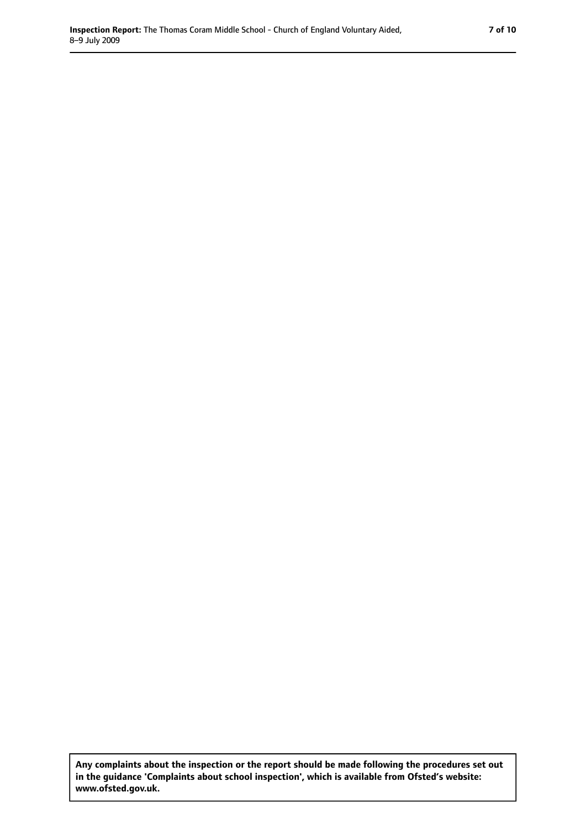**Any complaints about the inspection or the report should be made following the procedures set out in the guidance 'Complaints about school inspection', which is available from Ofsted's website: www.ofsted.gov.uk.**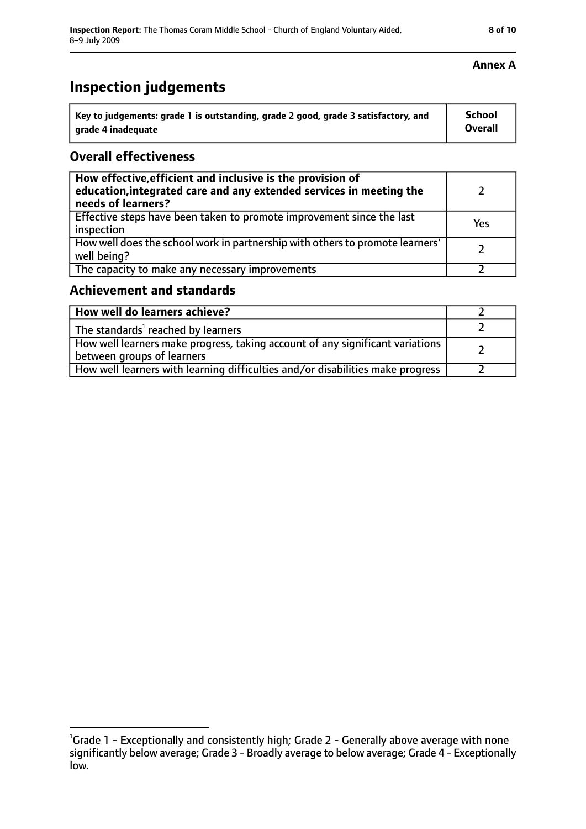## **Inspection judgements**

| Key to judgements: grade 1 is outstanding, grade 2 good, grade 3 satisfactory, and | <b>School</b>  |
|------------------------------------------------------------------------------------|----------------|
| arade 4 inadequate                                                                 | <b>Overall</b> |

#### **Overall effectiveness**

| How effective, efficient and inclusive is the provision of<br>education, integrated care and any extended services in meeting the<br>needs of learners? |     |
|---------------------------------------------------------------------------------------------------------------------------------------------------------|-----|
| Effective steps have been taken to promote improvement since the last<br>inspection                                                                     | Yes |
| How well does the school work in partnership with others to promote learners'<br>well being?                                                            |     |
| The capacity to make any necessary improvements                                                                                                         |     |

#### **Achievement and standards**

| How well do learners achieve?                                                                               |  |
|-------------------------------------------------------------------------------------------------------------|--|
| The standards <sup>1</sup> reached by learners                                                              |  |
| How well learners make progress, taking account of any significant variations<br>between groups of learners |  |
| How well learners with learning difficulties and/or disabilities make progress                              |  |

#### **Annex A**

<sup>&</sup>lt;sup>1</sup>Grade 1 - Exceptionally and consistently high; Grade 2 - Generally above average with none significantly below average; Grade 3 - Broadly average to below average; Grade 4 - Exceptionally low.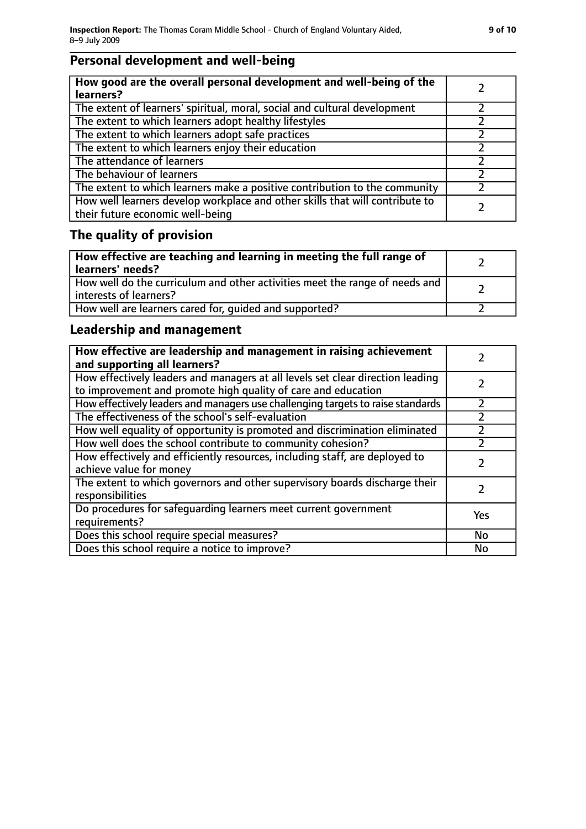### **Personal development and well-being**

| How good are the overall personal development and well-being of the<br>learners?                                 |  |
|------------------------------------------------------------------------------------------------------------------|--|
| The extent of learners' spiritual, moral, social and cultural development                                        |  |
| The extent to which learners adopt healthy lifestyles                                                            |  |
| The extent to which learners adopt safe practices                                                                |  |
| The extent to which learners enjoy their education                                                               |  |
| The attendance of learners                                                                                       |  |
| The behaviour of learners                                                                                        |  |
| The extent to which learners make a positive contribution to the community                                       |  |
| How well learners develop workplace and other skills that will contribute to<br>their future economic well-being |  |

### **The quality of provision**

| How effective are teaching and learning in meeting the full range of<br>learners' needs?              |  |
|-------------------------------------------------------------------------------------------------------|--|
| How well do the curriculum and other activities meet the range of needs and<br>interests of learners? |  |
| How well are learners cared for, quided and supported?                                                |  |

### **Leadership and management**

| How effective are leadership and management in raising achievement<br>and supporting all learners?                                              |     |
|-------------------------------------------------------------------------------------------------------------------------------------------------|-----|
| How effectively leaders and managers at all levels set clear direction leading<br>to improvement and promote high quality of care and education |     |
| How effectively leaders and managers use challenging targets to raise standards                                                                 |     |
| The effectiveness of the school's self-evaluation                                                                                               |     |
| How well equality of opportunity is promoted and discrimination eliminated                                                                      |     |
| How well does the school contribute to community cohesion?                                                                                      | フ   |
| How effectively and efficiently resources, including staff, are deployed to<br>achieve value for money                                          |     |
| The extent to which governors and other supervisory boards discharge their<br>responsibilities                                                  |     |
| Do procedures for safequarding learners meet current government<br>requirements?                                                                | Yes |
| Does this school require special measures?                                                                                                      | No  |
| Does this school require a notice to improve?                                                                                                   | No  |